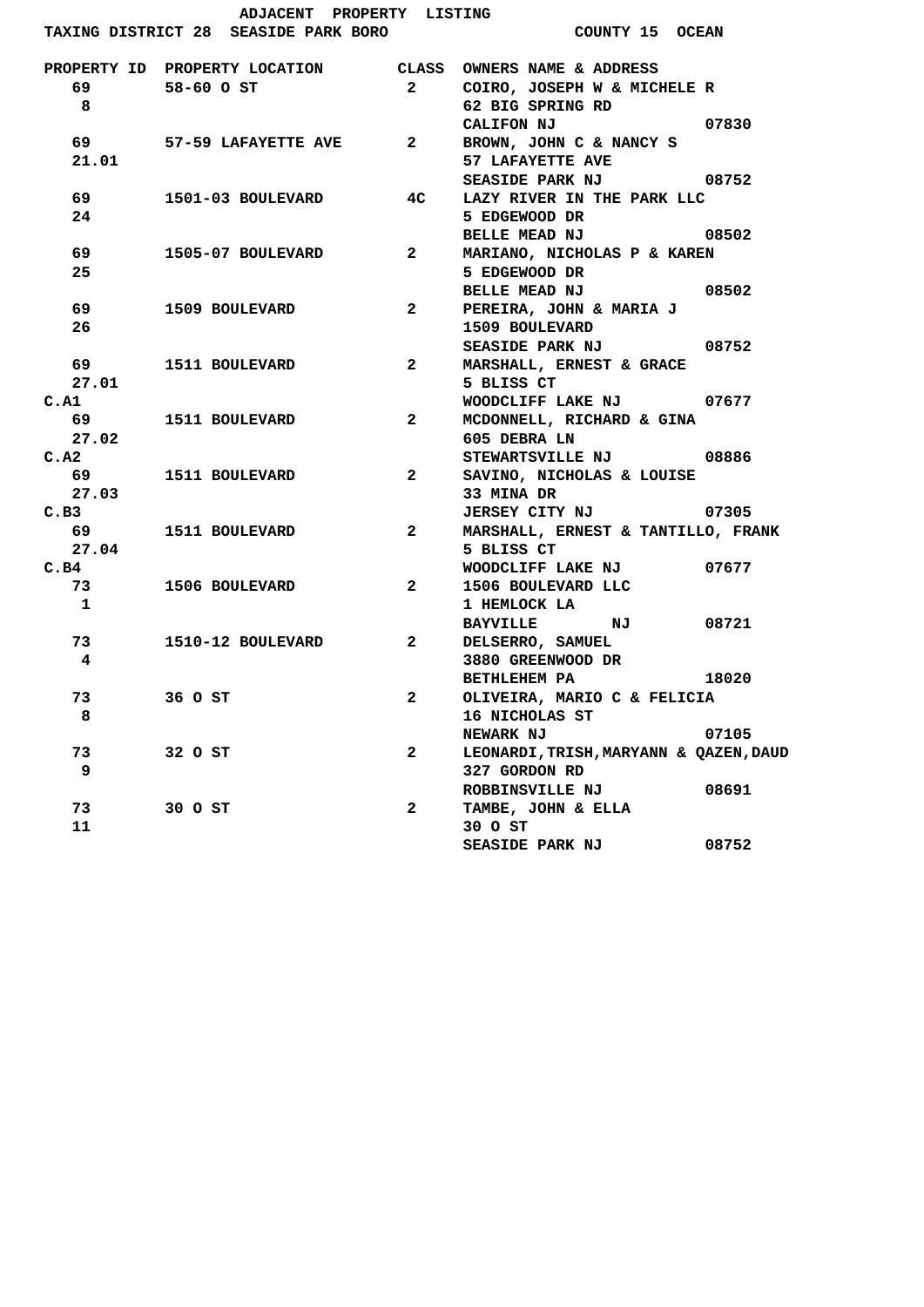| ADJACENT PROPERTY LISTING                                                                                                                                                                                                       |                                                           |                   |                                        |       |
|---------------------------------------------------------------------------------------------------------------------------------------------------------------------------------------------------------------------------------|-----------------------------------------------------------|-------------------|----------------------------------------|-------|
|                                                                                                                                                                                                                                 | TAXING DISTRICT 28 SEASIDE PARK BORO                      |                   | <b>COUNTY 15 OCEAN</b>                 |       |
|                                                                                                                                                                                                                                 | PROPERTY ID PROPERTY LOCATION CLASS OWNERS NAME & ADDRESS |                   |                                        |       |
|                                                                                                                                                                                                                                 | 69 58-60 O ST                                             |                   | 2 COIRO, JOSEPH W & MICHELE R          |       |
| 8                                                                                                                                                                                                                               |                                                           |                   | 62 BIG SPRING RD                       |       |
|                                                                                                                                                                                                                                 |                                                           |                   | CALIFON NJ 07830                       |       |
|                                                                                                                                                                                                                                 | 69 57-59 LAFAYETTE AVE 2 BROWN, JOHN C & NANCY S          |                   |                                        |       |
| 21.01                                                                                                                                                                                                                           |                                                           |                   | 57 LAFAYETTE AVE                       |       |
|                                                                                                                                                                                                                                 |                                                           |                   | SEASIDE PARK NJ 08752                  |       |
| 69 - 100 - 100 - 100 - 100 - 100 - 100 - 100 - 100 - 100 - 100 - 100 - 100 - 100 - 100 - 100 - 100 - 100 - 100 - 100 - 100 - 100 - 100 - 100 - 100 - 100 - 100 - 100 - 100 - 100 - 100 - 100 - 100 - 100 - 100 - 100 - 100 - 10 | 1501-03 BOULEVARD                                         | 4 <sub>C</sub>    | LAZY RIVER IN THE PARK LLC             |       |
| 24                                                                                                                                                                                                                              |                                                           |                   | 5 EDGEWOOD DR                          |       |
|                                                                                                                                                                                                                                 |                                                           |                   | BELLE MEAD NJ 08502                    |       |
| 69 — 10                                                                                                                                                                                                                         | 1505-07 BOULEVARD                                         |                   | 2 MARIANO, NICHOLAS P & KAREN          |       |
| 25                                                                                                                                                                                                                              |                                                           |                   | 5 EDGEWOOD DR                          |       |
|                                                                                                                                                                                                                                 |                                                           |                   | BELLE MEAD NJ 08502                    |       |
| 69 — 10                                                                                                                                                                                                                         | 1509 BOULEVARD                                            | $2^{\sim}$        | PEREIRA, JOHN & MARIA J                |       |
| 26                                                                                                                                                                                                                              |                                                           |                   | 1509 BOULEVARD                         |       |
|                                                                                                                                                                                                                                 |                                                           |                   | SEASIDE PARK NJ 08752                  |       |
|                                                                                                                                                                                                                                 | 69 1511 BOULEVARD                                         |                   | 2 MARSHALL, ERNEST & GRACE             |       |
| 27.01                                                                                                                                                                                                                           |                                                           |                   | 5 BLISS CT                             |       |
| C.A1                                                                                                                                                                                                                            |                                                           |                   | WOODCLIFF LAKE NJ 07677                |       |
|                                                                                                                                                                                                                                 | <b>69 1511 BOULEVARD</b>                                  | $2 \qquad \qquad$ | MCDONNELL, RICHARD & GINA              |       |
| 27.02                                                                                                                                                                                                                           |                                                           |                   | 605 DEBRA LN                           |       |
| C.A2                                                                                                                                                                                                                            |                                                           |                   | STEWARTSVILLE NJ 08886                 |       |
|                                                                                                                                                                                                                                 | <b>69 1511 BOULEVARD</b>                                  |                   | 2 SAVINO, NICHOLAS & LOUISE            |       |
| 27.03                                                                                                                                                                                                                           |                                                           |                   | 33 MINA DR                             |       |
| C.B3                                                                                                                                                                                                                            |                                                           |                   | JERSEY CITY NJ 07305                   |       |
|                                                                                                                                                                                                                                 | <b>69 1511 BOULEVARD</b>                                  |                   | 2 MARSHALL, ERNEST & TANTILLO, FRANK   |       |
| 27.04                                                                                                                                                                                                                           |                                                           |                   | 5 BLISS CT                             |       |
| C.B4                                                                                                                                                                                                                            |                                                           |                   | WOODCLIFF LAKE NJ 07677                |       |
| 73 — 1                                                                                                                                                                                                                          | 1506 BOULEVARD                                            | $\mathbf{2}$      | 1506 BOULEVARD LLC                     |       |
| $\mathbf{1}$                                                                                                                                                                                                                    |                                                           |                   | 1 HEMLOCK LA                           |       |
|                                                                                                                                                                                                                                 |                                                           |                   | BAYVILLE NJ                            | 08721 |
| 73                                                                                                                                                                                                                              | 1510-12 BOULEVARD                                         |                   | 2 DELSERRO, SAMUEL                     |       |
| 4                                                                                                                                                                                                                               |                                                           |                   | 3880 GREENWOOD DR                      |       |
|                                                                                                                                                                                                                                 |                                                           |                   | BETHLEHEM PA                           | 18020 |
| 73                                                                                                                                                                                                                              | 36 O ST                                                   | $\mathbf{2}$      | OLIVEIRA, MARIO C & FELICIA            |       |
| 8                                                                                                                                                                                                                               |                                                           |                   | 16 NICHOLAS ST                         |       |
|                                                                                                                                                                                                                                 |                                                           |                   | <b>NEWARK NJ</b>                       | 07105 |
| 73                                                                                                                                                                                                                              | 32 O ST                                                   | $\mathbf{2}$      | LEONARDI, TRISH, MARYANN & QAZEN, DAUD |       |
| 9                                                                                                                                                                                                                               |                                                           |                   | 327 GORDON RD                          |       |
|                                                                                                                                                                                                                                 |                                                           |                   | ROBBINSVILLE NJ                        | 08691 |
| 73                                                                                                                                                                                                                              | 30 O ST                                                   | $\mathbf{2}$      | TAMBE, JOHN & ELLA                     |       |
| 11                                                                                                                                                                                                                              |                                                           |                   | 30 O ST                                |       |
|                                                                                                                                                                                                                                 |                                                           |                   | <b>SEASIDE PARK NJ</b>                 | 08752 |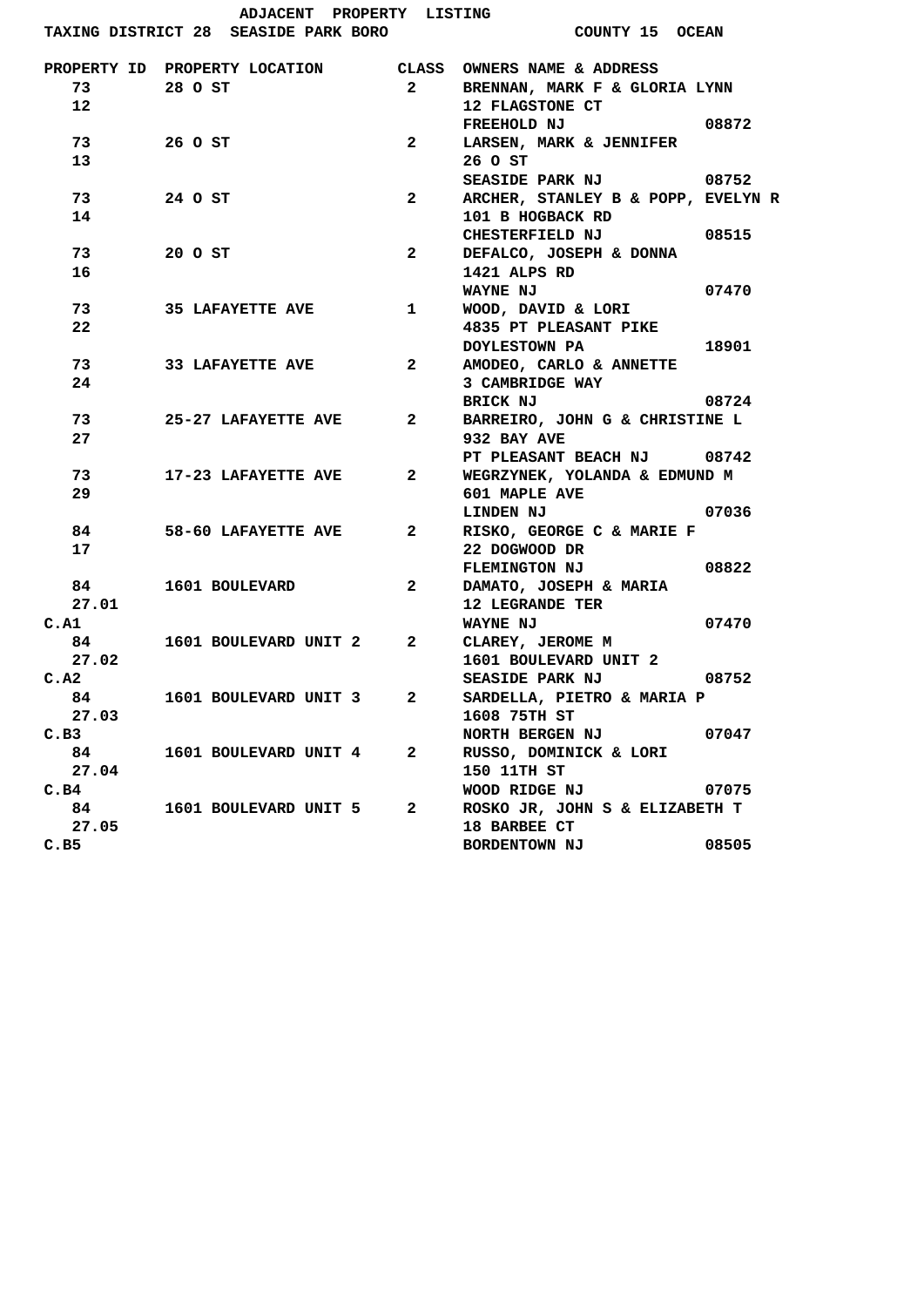|                 | ADJACENT PROPERTY LISTING                                 |                               |                                    |  |
|-----------------|-----------------------------------------------------------|-------------------------------|------------------------------------|--|
|                 | TAXING DISTRICT 28 SEASIDE PARK BORO                      |                               | COUNTY 15 OCEAN                    |  |
|                 | PROPERTY ID PROPERTY LOCATION CLASS OWNERS NAME & ADDRESS |                               |                                    |  |
| 73              | 28 O ST                                                   | 2                             | BRENNAN, MARK F & GLORIA LYNN      |  |
| 12 <sup>2</sup> |                                                           |                               | 12 FLAGSTONE CT                    |  |
|                 |                                                           |                               | $\sim$ 08872<br>FREEHOLD NJ        |  |
| 73              | 26 O ST                                                   | $\mathbf{2}$                  | LARSEN, MARK & JENNIFER            |  |
| 13              |                                                           |                               | 26 O ST                            |  |
|                 |                                                           |                               | SEASIDE PARK NJ 08752              |  |
| 73              | 24 O ST                                                   | $\mathbf{2}$                  | ARCHER, STANLEY B & POPP, EVELYN R |  |
| 14              |                                                           |                               | 101 B HOGBACK RD                   |  |
|                 |                                                           |                               | CHESTERFIELD NJ 08515              |  |
| 73              | 20 O ST                                                   | $\mathbf{2}$                  | DEFALCO, JOSEPH & DONNA            |  |
| 16              |                                                           |                               | 1421 ALPS RD                       |  |
|                 |                                                           |                               | 07470<br><b>WAYNE NJ</b>           |  |
| 73              | <b>35 LAFAYETTE AVE</b>                                   | $\mathbf{1}$                  | WOOD, DAVID & LORI                 |  |
| 22              |                                                           |                               | 4835 PT PLEASANT PIKE              |  |
|                 |                                                           |                               | <b>DOYLESTOWN PA</b><br>18901      |  |
| 73              | <b>33 LAFAYETTE AVE</b>                                   | $2^{\circ}$                   | AMODEO, CARLO & ANNETTE            |  |
| 24              |                                                           |                               | 3 CAMBRIDGE WAY                    |  |
|                 |                                                           |                               | BRICK NJ<br>08724                  |  |
| 73              | <b>25-27 LAFAYETTE AVE</b>                                | $2^{\circ}$                   | BARREIRO, JOHN G & CHRISTINE L     |  |
| 27              |                                                           |                               | 932 BAY AVE                        |  |
|                 |                                                           |                               | PT PLEASANT BEACH NJ 08742         |  |
| 73              | <b>17-23 LAFAYETTE AVE</b>                                | $\mathbf{2}$ and $\mathbf{2}$ | WEGRZYNEK, YOLANDA & EDMUND M      |  |
| 29              |                                                           |                               | 601 MAPLE AVE                      |  |
|                 |                                                           |                               | 07036<br>LINDEN NJ                 |  |
| 84.             | 58-60 LAFAYETTE AVE                                       | $2^{\sim}$                    | RISKO, GEORGE C & MARIE F          |  |
| 17              |                                                           |                               | 22 DOGWOOD DR                      |  |
|                 |                                                           |                               | 08822<br>FLEMINGTON NJ             |  |
| 84              | 1601 BOULEVARD                                            | $\mathbf{2}$                  | DAMATO, JOSEPH & MARIA             |  |
| 27.01           |                                                           |                               | <b>12 LEGRANDE TER</b>             |  |
| C.A1            |                                                           |                               | 07470<br><b>WAYNE NJ</b>           |  |
| 84.             | 1601 BOULEVARD UNIT 2                                     | $\mathbf{2}$                  | CLAREY, JEROME M                   |  |
| 27.02           |                                                           |                               | 1601 BOULEVARD UNIT 2              |  |
| C.A2            |                                                           |                               | <b>SEASIDE PARK NJ</b><br>08752    |  |
| 84              | 1601 BOULEVARD UNIT 3                                     | $\mathbf{2}$                  | SARDELLA, PIETRO & MARIA P         |  |
| 27.03           |                                                           |                               | 1608 75TH ST                       |  |
| C.B3            |                                                           |                               | NORTH BERGEN NJ<br>07047           |  |
| 84              | 1601 BOULEVARD UNIT 4                                     | $\mathbf{2}$                  | RUSSO, DOMINICK & LORI             |  |
| 27.04           |                                                           |                               | 150 11TH ST                        |  |
| C.B4            |                                                           |                               | WOOD RIDGE NJ<br>07075             |  |
| 84              | 1601 BOULEVARD UNIT 5                                     | $\mathbf{2}$                  | ROSKO JR, JOHN S & ELIZABETH T     |  |
| 27.05           |                                                           |                               | 18 BARBEE CT                       |  |
| C.B5            |                                                           |                               | BORDENTOWN NJ<br>08505             |  |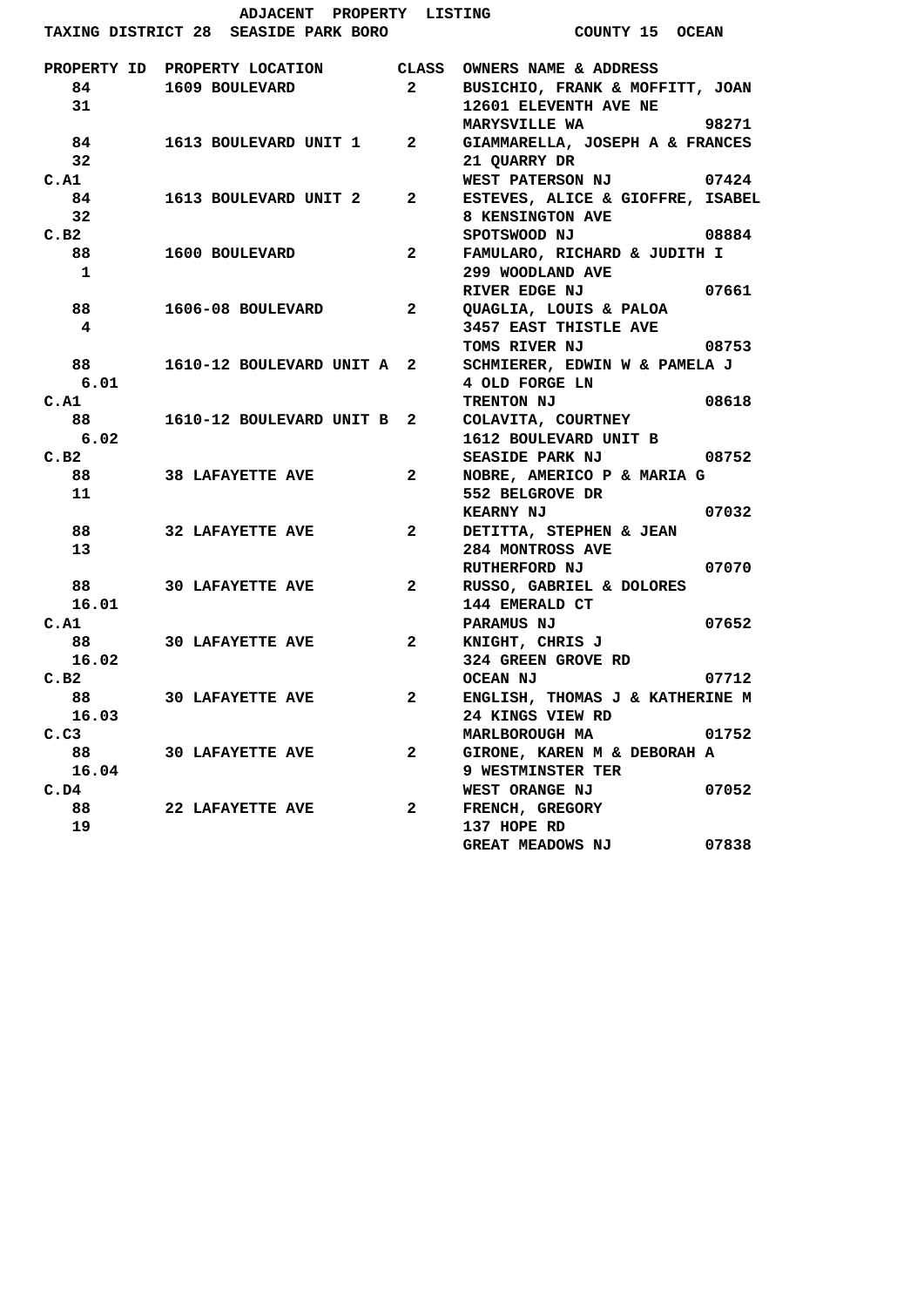|             | ADJACENT PROPERTY LISTING            |                         |                                       |       |
|-------------|--------------------------------------|-------------------------|---------------------------------------|-------|
|             | TAXING DISTRICT 28 SEASIDE PARK BORO |                         | COUNTY 15 OCEAN                       |       |
|             | PROPERTY ID PROPERTY LOCATION        |                         | CLASS OWNERS NAME & ADDRESS           |       |
| 84          | 1609 BOULEVARD                       | $\overline{\mathbf{2}}$ | BUSICHIO, FRANK & MOFFITT, JOAN       |       |
| 31          |                                      |                         | 12601 ELEVENTH AVE NE                 |       |
|             |                                      |                         | MARYSVILLE WA                         | 98271 |
| 84          | 1613 BOULEVARD UNIT 1 2              |                         | GIAMMARELLA, JOSEPH A & FRANCES       |       |
| 32          |                                      |                         | 21 QUARRY DR                          |       |
| C.A1        |                                      |                         | WEST PATERSON NJ                      | 07424 |
| 84          | 1613 BOULEVARD UNIT 2                | $\mathbf{2}$            | ESTEVES, ALICE & GIOFFRE, ISABEL      |       |
| 32          |                                      |                         | 8 KENSINGTON AVE                      |       |
| C.B2        |                                      |                         | SPOTSWOOD NJ                          | 08884 |
| 88          | 1600 BOULEVARD                       | $\mathbf{2}$            | FAMULARO, RICHARD & JUDITH I          |       |
| 1           |                                      |                         | 299 WOODLAND AVE                      |       |
|             |                                      |                         | RIVER EDGE NJ                         | 07661 |
| 88          | 1606-08 BOULEVARD                    | 2                       | QUAGLIA, LOUIS & PALOA                |       |
| 4           |                                      |                         | 3457 EAST THISTLE AVE                 |       |
|             |                                      |                         | TOMS RIVER NJ                         | 08753 |
| 88          | 1610-12 BOULEVARD UNIT A 2           |                         | SCHMIERER, EDWIN W & PAMELA J         |       |
| 6.01        |                                      |                         | 4 OLD FORGE LN                        |       |
| C.A1        |                                      |                         | TRENTON NJ                            | 08618 |
| 88          | 1610-12 BOULEVARD UNIT B 2           |                         | COLAVITA, COURTNEY                    |       |
| 6.02        |                                      |                         | 1612 BOULEVARD UNIT B                 |       |
| C.B2        |                                      |                         | <b>SEASIDE PARK NJ</b>                | 08752 |
| 88          | <b>38 LAFAYETTE AVE</b>              | $\mathbf{2}$            | NOBRE, AMERICO P & MARIA G            |       |
| 11          |                                      |                         | 552 BELGROVE DR                       |       |
|             |                                      |                         | <b>KEARNY NJ</b>                      | 07032 |
| 88          | <b>32 LAFAYETTE AVE</b>              | $\mathbf{2}$            | DETITTA, STEPHEN & JEAN               |       |
| 13          |                                      |                         | 284 MONTROSS AVE                      |       |
|             |                                      |                         | RUTHERFORD NJ                         | 07070 |
| 88          | <b>30 LAFAYETTE AVE</b>              | $\mathbf{2}$            | RUSSO, GABRIEL & DOLORES              |       |
| 16.01       |                                      |                         | 144 EMERALD CT                        |       |
| C.A1        |                                      |                         | <b>PARAMUS NJ</b>                     | 07652 |
| 88<br>16.02 | <b>30 LAFAYETTE AVE</b>              | $\mathbf{2}$            | KNIGHT, CHRIS J<br>324 GREEN GROVE RD |       |
| C.B2        |                                      |                         | <b>OCEAN NJ</b>                       | 07712 |
| 88          |                                      | $\overline{\mathbf{2}}$ | ENGLISH, THOMAS J & KATHERINE M       |       |
| 16.03       | <b>30 LAFAYETTE AVE</b>              |                         | 24 KINGS VIEW RD                      |       |
| C.C3        |                                      |                         | MARLBOROUGH MA                        | 01752 |
| 88          | <b>30 LAFAYETTE AVE</b>              | $\mathbf{2}$            | GIRONE, KAREN M & DEBORAH A           |       |
| 16.04       |                                      |                         | 9 WESTMINSTER TER                     |       |
| C.D4        |                                      |                         | WEST ORANGE NJ                        | 07052 |
| 88          | 22 LAFAYETTE AVE                     | 2                       | FRENCH, GREGORY                       |       |
| 19          |                                      |                         | 137 HOPE RD                           |       |
|             |                                      |                         | <b>GREAT MEADOWS NJ</b>               | 07838 |
|             |                                      |                         |                                       |       |